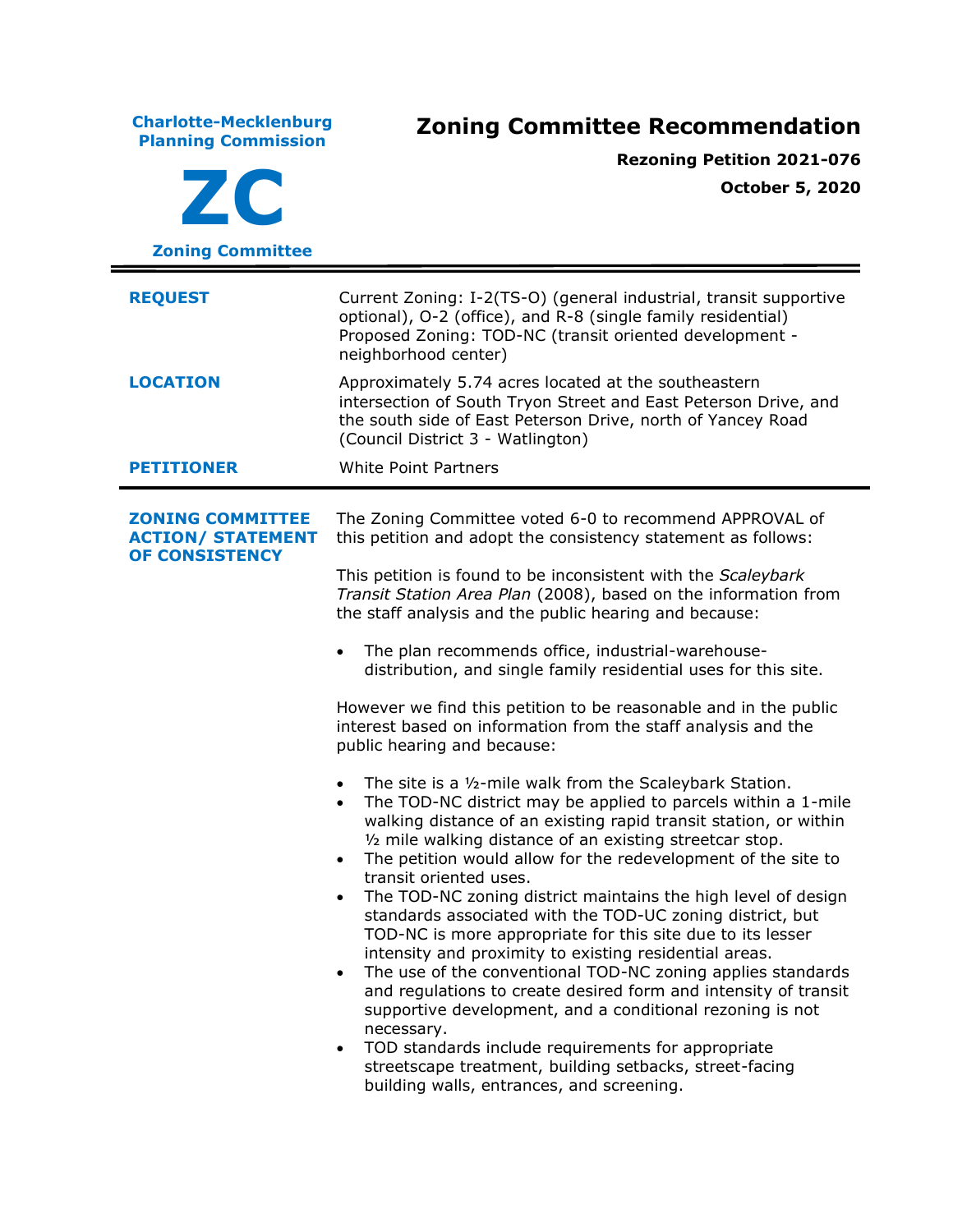**Charlotte-Mecklenburg Planning Commission Zoning Committee Recommendation ZC Zoning Committee Rezoning Petition 2021-076 October 5, 2020 REQUEST** Current Zoning: I-2(TS-O) (general industrial, transit supportive optional), O-2 (office), and R-8 (single family residential) Proposed Zoning: TOD-NC (transit oriented development neighborhood center) **LOCATION** Approximately 5.74 acres located at the southeastern intersection of South Tryon Street and East Peterson Drive, and the south side of East Peterson Drive, north of Yancey Road (Council District 3 - Watlington) **PETITIONER** White Point Partners **ZONING COMMITTEE ACTION/ STATEMENT OF CONSISTENCY** The Zoning Committee voted 6-0 to recommend APPROVAL of this petition and adopt the consistency statement as follows: This petition is found to be inconsistent with the *Scaleybark Transit Station Area Plan* (2008), based on the information from the staff analysis and the public hearing and because: • The plan recommends office, industrial-warehousedistribution, and single family residential uses for this site. However we find this petition to be reasonable and in the public interest based on information from the staff analysis and the public hearing and because: • The site is a ½-mile walk from the Scaleybark Station. • The TOD-NC district may be applied to parcels within a 1-mile walking distance of an existing rapid transit station, or within ½ mile walking distance of an existing streetcar stop. • The petition would allow for the redevelopment of the site to transit oriented uses. • The TOD-NC zoning district maintains the high level of design standards associated with the TOD-UC zoning district, but TOD-NC is more appropriate for this site due to its lesser intensity and proximity to existing residential areas. • The use of the conventional TOD-NC zoning applies standards and regulations to create desired form and intensity of transit supportive development, and a conditional rezoning is not necessary. • TOD standards include requirements for appropriate streetscape treatment, building setbacks, street-facing building walls, entrances, and screening.